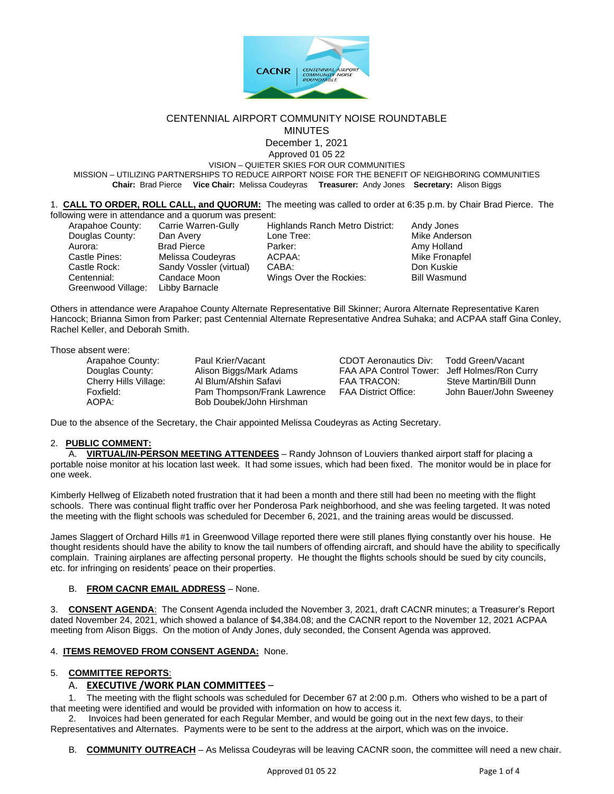

### CENTENNIAL AIRPORT COMMUNITY NOISE ROUNDTABLE **MINUTES**

December 1, 2021 Approved 01 05 22

VISION – QUIETER SKIES FOR OUR COMMUNITIES

MISSION – UTILIZING PARTNERSHIPS TO REDUCE AIRPORT NOISE FOR THE BENEFIT OF NEIGHBORING COMMUNITIES **Chair:** Brad Pierce **Vice Chair:** Melissa Coudeyras **Treasurer:** Andy Jones **Secretary:** Alison Biggs

| 1. CALL TO ORDER, ROLL CALL, and QUORUM: The meeting was called to order at 6:35 p.m. by Chair Brad Pierce. The |  |  |  |
|-----------------------------------------------------------------------------------------------------------------|--|--|--|
| following were in attendance and a quorum was present:                                                          |  |  |  |

| Arapahoe County:   | Carrie Warren-Gully    |
|--------------------|------------------------|
| Douglas County:    | Dan Avery              |
| Aurora:            | <b>Brad Pierce</b>     |
| Castle Pines:      | Melissa Coudeyras      |
| Castle Rock:       | Sandy Vossler (virtual |
| Centennial:        | Candace Moon           |
| Greenwood Village: | Libby Barnacle         |
|                    |                        |

Highlands Ranch Metro District: Andy Jones Lone Tree: Nike Anderson Parker: **Brad Parker:** Amy Holland ACPAA: Mike Fronapfel I) CABA: Sandy Vossler (virtual) CABA: Don Kuskie Wings Over the Rockies: Bill Wasmund

Others in attendance were Arapahoe County Alternate Representative Bill Skinner; Aurora Alternate Representative Karen Hancock; Brianna Simon from Parker; past Centennial Alternate Representative Andrea Suhaka; and ACPAA staff Gina Conley, Rachel Keller, and Deborah Smith.

### Those absent were:

| Arapahoe County:      | Paul Krier/Vacant           | CDOT Aeronautics Div:                        | Todd Green/Vacant       |
|-----------------------|-----------------------------|----------------------------------------------|-------------------------|
| Douglas County:       | Alison Biggs/Mark Adams     | FAA APA Control Tower: Jeff Holmes/Ron Curry |                         |
| Cherry Hills Village: | Al Blum/Afshin Safavi       | FAA TRACON:                                  | Steve Martin/Bill Dunn  |
| Foxfield:             | Pam Thompson/Frank Lawrence | <b>FAA District Office:</b>                  | John Bauer/John Sweeney |
| AOPA:                 | Bob Doubek/John Hirshman    |                                              |                         |

Due to the absence of the Secretary, the Chair appointed Melissa Coudeyras as Acting Secretary.

### 2. **PUBLIC COMMENT:**

A. **VIRTUAL/IN-PERSON MEETING ATTENDEES** – Randy Johnson of Louviers thanked airport staff for placing a portable noise monitor at his location last week. It had some issues, which had been fixed. The monitor would be in place for one week.

Kimberly Hellweg of Elizabeth noted frustration that it had been a month and there still had been no meeting with the flight schools. There was continual flight traffic over her Ponderosa Park neighborhood, and she was feeling targeted. It was noted the meeting with the flight schools was scheduled for December 6, 2021, and the training areas would be discussed.

James Slaggert of Orchard Hills #1 in Greenwood Village reported there were still planes flying constantly over his house. He thought residents should have the ability to know the tail numbers of offending aircraft, and should have the ability to specifically complain. Training airplanes are affecting personal property. He thought the flights schools should be sued by city councils, etc. for infringing on residents' peace on their properties.

### B. **FROM CACNR EMAIL ADDRESS** – None.

3. **CONSENT AGENDA**: The Consent Agenda included the November 3, 2021, draft CACNR minutes; a Treasurer's Report dated November 24, 2021, which showed a balance of \$4,384.08; and the CACNR report to the November 12, 2021 ACPAA meeting from Alison Biggs. On the motion of Andy Jones, duly seconded, the Consent Agenda was approved.

# 4. **ITEMS REMOVED FROM CONSENT AGENDA:** None.

# 5. **COMMITTEE REPORTS**:

# A. **EXECUTIVE /WORK PLAN COMMITTEES** –

1. The meeting with the flight schools was scheduled for December 67 at 2:00 p.m. Others who wished to be a part of that meeting were identified and would be provided with information on how to access it.

2. Invoices had been generated for each Regular Member, and would be going out in the next few days, to their Representatives and Alternates. Payments were to be sent to the address at the airport, which was on the invoice.

B. **COMMUNITY OUTREACH** – As Melissa Coudeyras will be leaving CACNR soon, the committee will need a new chair.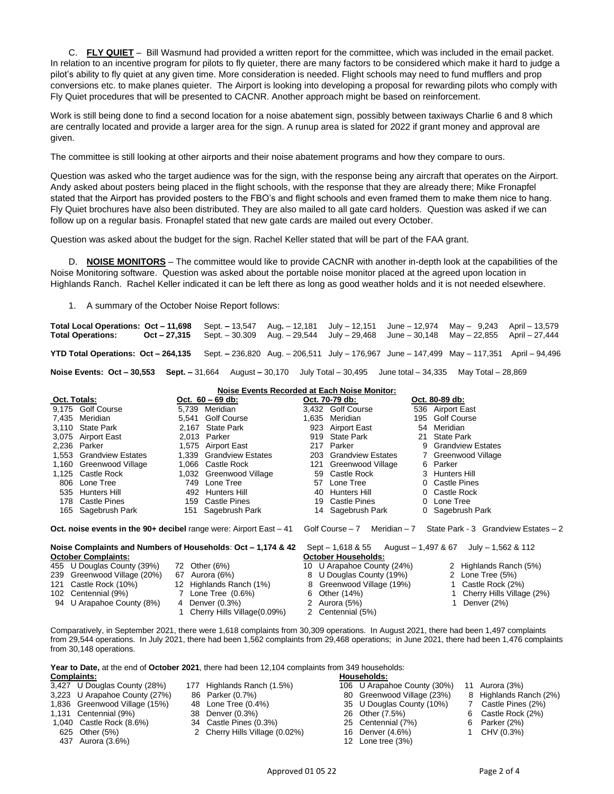C. **FLY QUIET** – Bill Wasmund had provided a written report for the committee, which was included in the email packet. In relation to an incentive program for pilots to fly quieter, there are many factors to be considered which make it hard to judge a pilot's ability to fly quiet at any given time. More consideration is needed. Flight schools may need to fund mufflers and prop conversions etc. to make planes quieter. The Airport is looking into developing a proposal for rewarding pilots who comply with Fly Quiet procedures that will be presented to CACNR. Another approach might be based on reinforcement.

Work is still being done to find a second location for a noise abatement sign, possibly between taxiways Charlie 6 and 8 which are centrally located and provide a larger area for the sign. A runup area is slated for 2022 if grant money and approval are given.

The committee is still looking at other airports and their noise abatement programs and how they compare to ours.

Question was asked who the target audience was for the sign, with the response being any aircraft that operates on the Airport. Andy asked about posters being placed in the flight schools, with the response that they are already there; Mike Fronapfel stated that the Airport has provided posters to the FBO's and flight schools and even framed them to make them nice to hang. Fly Quiet brochures have also been distributed. They are also mailed to all gate card holders. Question was asked if we can follow up on a regular basis. Fronapfel stated that new gate cards are mailed out every October.

Question was asked about the budget for the sign. Rachel Keller stated that will be part of the FAA grant.

D. **NOISE MONITORS** – The committee would like to provide CACNR with another in-depth look at the capabilities of the Noise Monitoring software. Question was asked about the portable noise monitor placed at the agreed upon location in Highlands Ranch. Rachel Keller indicated it can be left there as long as good weather holds and it is not needed elsewhere.

1. A summary of the October Noise Report follows:

**Total Local Operations: Oct – 11,698** Sept. **–** 13,547 Aug**.** – 12,181 July – 12,151 June – 12,974 May – 9,243 April – 13,579 **Total Operations: Oct – 27,315** Sept. – 30.309 Aug. – 29,544 July – 29,468 June – 30,148 May – 22,855 April – 27,444 **YTD Total Operations: Oct – 264,135** Sept. **–** 236,820 Aug. – 206,511 July – 176,967 June – 147,499 May – 117,351 April – 94,496 **Noise Events: Oct – 30,553 Sept. –** 31,664August **–** 30,170 July Total – 30,495 June total – 34,335 May Total – 28,869

|  | Noise Events Recorded at Each Noise Monitor: |
|--|----------------------------------------------|
|  |                                              |

| Oct. Totals:                                                          |                            | Oct. $60 - 69$ db:                                           |                                 | Oct. 70-79 db:                                    | Oct. 80-89 db:                              |
|-----------------------------------------------------------------------|----------------------------|--------------------------------------------------------------|---------------------------------|---------------------------------------------------|---------------------------------------------|
|                                                                       | 9.175 Golf Course          | 5.739 Meridian                                               |                                 | 3.432 Golf Course                                 | 536 Airport East                            |
|                                                                       | 7,435 Meridian             | 5,541 Golf Course                                            | 1,635                           | Meridian                                          | 195 Golf Course                             |
|                                                                       | 3.110 State Park           | 2.167 State Park                                             |                                 | 923 Airport East                                  | 54 Meridian                                 |
|                                                                       | 3,075 Airport East         | 2,013 Parker                                                 |                                 | 919 State Park                                    | 21 State Park                               |
|                                                                       | 2,236 Parker               | 1,575 Airport East                                           |                                 | 217 Parker                                        | 9 Grandview Estates                         |
|                                                                       | 1,553 Grandview Estates    | 1,339 Grandview Estates                                      |                                 | 203 Grandview Estates                             | 7 Greenwood Village                         |
|                                                                       | 1,160 Greenwood Village    | 1.066 Castle Rock                                            |                                 | 121 Greenwood Village                             | 6 Parker                                    |
|                                                                       | 1,125 Castle Rock          | 1,032 Greenwood Village                                      |                                 | 59 Castle Rock                                    | 3 Hunters Hill                              |
|                                                                       | 806 Lone Tree              | 749 Lone Tree                                                |                                 | 57 Lone Tree                                      | 0 Castle Pines                              |
| 535                                                                   | Hunters Hill               | 492 Hunters Hill                                             |                                 | 40 Hunters Hill                                   | 0 Castle Rock                               |
|                                                                       | 178 Castle Pines           | 159 Castle Pines                                             |                                 | 19 Castle Pines                                   | 0 Lone Tree                                 |
|                                                                       | 165 Sagebrush Park         | 151 Sagebrush Park                                           |                                 | 14 Sagebrush Park                                 | 0 Sagebrush Park                            |
| Oct. noise events in the $90+$ decibel range were: Airport East $-41$ |                            |                                                              | Meridian – 7<br>Golf Course – 7 | State Park - 3 Grandview Estates - 2              |                                             |
|                                                                       | <b>October Complaints:</b> | Noise Complaints and Numbers of Households: Oct - 1,174 & 42 |                                 | $Sept - 1,618 & 55$<br><b>October Households:</b> | July $- 1,562$ & 112<br>August – 1,497 & 67 |
|                                                                       | 455 U Douglas County (39%) | 72 Other (6%)                                                |                                 | 10 U Arapahoe County (24%)                        | 2 Highlands Ranch (5%)                      |

| $-2 = -2 - 3 = -2$          |                             |                           |                             |
|-----------------------------|-----------------------------|---------------------------|-----------------------------|
| 239 Greenwood Village (20%) | 67 Aurora (6%)              | 8 U Douglas County (19%)  | 2 Lone Tree (5%)            |
| 121 Castle Rock (10%)       | 12 Highlands Ranch (1%)     | 8 Greenwood Village (19%) | 1 Castle Rock (2%)          |
| 102 Centennial (9%)         | 7 Lone Tree (0.6%)          | 6 Other (14%)             | 1 Cherry Hills Village (2%) |
| 94 U Arapahoe County (8%)   | 4 Denver (0.3%)             | 2 Aurora (5%)             | Denver (2%)                 |
|                             | Cherry Hills Village(0.09%) | 2 Centennial (5%)         |                             |
|                             |                             |                           |                             |

Comparatively, in September 2021, there were 1,618 complaints from 30,309 operations. In August 2021, there had been 1,497 complaints from 29,544 operations. In July 2021, there had been 1,562 complaints from 29,468 operations; in June 2021, there had been 1,476 complaints from 30,148 operations.

**Year to Date,** at the end of **October 2021**, there had been 12,104 complaints from 349 households: **Complaints: Households:**

| vviiluidilito. |                               |                                | TIUUJUIUIUJ.      |
|----------------|-------------------------------|--------------------------------|-------------------|
|                | 3,427 U Douglas County (28%)  | 177 Highlands Ranch (1.5%)     | 106 U Arapahoe Co |
|                | 3,223 U Arapahoe County (27%) | 86 Parker (0.7%)               | 80 Greenwood Vil  |
|                | 1,836 Greenwood Village (15%) | 48 Lone Tree (0.4%)            | 35 U Douglas Cou  |
|                | 1,131 Centennial (9%)         | 38 Denver (0.3%)               | 26 Other (7.5%)   |
|                | 1,040 Castle Rock (8.6%)      | 34 Castle Pines (0.3%)         | 25 Centennial (7% |
|                | 625 Other (5%)                | 2 Cherry Hills Village (0.02%) | 16 Denver (4.6%)  |
|                | 437 Aurora (3.6%)             |                                | 12 Lone tree (3%) |

- 3,427 U Douglas County (28%) 177 Highlands Ranch (1.5%) 106 U Arapahoe County (30%) 11 Aurora (3%)
- 
- 
- 
- fils Village (0.02%) 2 16 Denver (4.6%) 1 CHV (0.3%)
- 1,131 Centennial (9%) 38 Denver (0.3%) 26 Other (7.5%) 6 Castle Rock (2%) 1,040 Castle Rock (8.6%) 34 Castle Pines (0.3%) 25 Centennial (7%) 6 Parker (2%)
	-
	-

35 U Douglas County (10%)

- 
- 3,223 U Arapahoe County (27%) 86 Parker (0.7%) 80 Greenwood Village (23%) 8 Highlands Ranch (2%)
	-
	-
	-
	-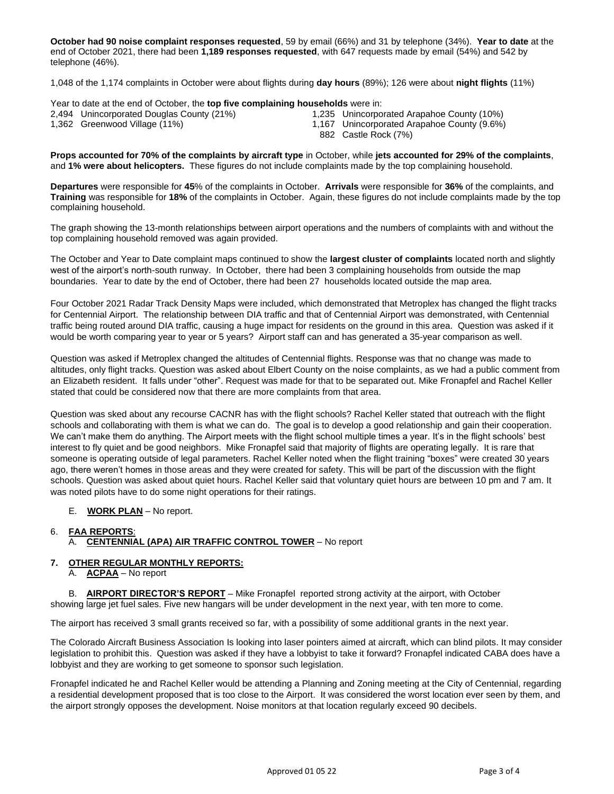**October had 90 noise complaint responses requested**, 59 by email (66%) and 31 by telephone (34%). **Year to date** at the end of October 2021, there had been **1,189 responses requested**, with 647 requests made by email (54%) and 542 by telephone (46%).

1,048 of the 1,174 complaints in October were about flights during **day hours** (89%); 126 were about **night flights** (11%)

Year to date at the end of October, the **top five complaining households** were in:

| 2,494 Unincorporated Douglas County (21%) |  | 1,235 Unincorporated Arapahoe County (10%)  |
|-------------------------------------------|--|---------------------------------------------|
| 1,362 Greenwood Village (11%)             |  | 1,167 Unincorporated Arapahoe County (9.6%) |
|                                           |  | 882 Castle Rock (7%)                        |

**Props accounted for 70% of the complaints by aircraft type** in October, while **jets accounted for 29% of the complaints**, and **1% were about helicopters.** These figures do not include complaints made by the top complaining household.

**Departures** were responsible for **45**% of the complaints in October. **Arrivals** were responsible for **36%** of the complaints, and **Training** was responsible for **18%** of the complaints in October. Again, these figures do not include complaints made by the top complaining household.

The graph showing the 13-month relationships between airport operations and the numbers of complaints with and without the top complaining household removed was again provided.

The October and Year to Date complaint maps continued to show the **largest cluster of complaints** located north and slightly west of the airport's north-south runway. In October, there had been 3 complaining households from outside the map boundaries. Year to date by the end of October, there had been 27 households located outside the map area.

Four October 2021 Radar Track Density Maps were included, which demonstrated that Metroplex has changed the flight tracks for Centennial Airport. The relationship between DIA traffic and that of Centennial Airport was demonstrated, with Centennial traffic being routed around DIA traffic, causing a huge impact for residents on the ground in this area. Question was asked if it would be worth comparing year to year or 5 years? Airport staff can and has generated a 35-year comparison as well.

Question was asked if Metroplex changed the altitudes of Centennial flights. Response was that no change was made to altitudes, only flight tracks. Question was asked about Elbert County on the noise complaints, as we had a public comment from an Elizabeth resident. It falls under "other". Request was made for that to be separated out. Mike Fronapfel and Rachel Keller stated that could be considered now that there are more complaints from that area.

Question was sked about any recourse CACNR has with the flight schools? Rachel Keller stated that outreach with the flight schools and collaborating with them is what we can do. The goal is to develop a good relationship and gain their cooperation. We can't make them do anything. The Airport meets with the flight school multiple times a year. It's in the flight schools' best interest to fly quiet and be good neighbors. Mike Fronapfel said that majority of flights are operating legally. It is rare that someone is operating outside of legal parameters. Rachel Keller noted when the flight training "boxes" were created 30 years ago, there weren't homes in those areas and they were created for safety. This will be part of the discussion with the flight schools. Question was asked about quiet hours. Rachel Keller said that voluntary quiet hours are between 10 pm and 7 am. It was noted pilots have to do some night operations for their ratings.

E. **WORK PLAN** – No report.

# 6. **FAA REPORTS**: A. **CENTENNIAL (APA) AIR TRAFFIC CONTROL TOWER** – No report

# **7. OTHER REGULAR MONTHLY REPORTS:**

A. **ACPAA** – No report

B. **AIRPORT DIRECTOR'S REPORT** – Mike Fronapfel reported strong activity at the airport, with October showing large jet fuel sales. Five new hangars will be under development in the next year, with ten more to come.

The airport has received 3 small grants received so far, with a possibility of some additional grants in the next year.

The Colorado Aircraft Business Association Is looking into laser pointers aimed at aircraft, which can blind pilots. It may consider legislation to prohibit this. Question was asked if they have a lobbyist to take it forward? Fronapfel indicated CABA does have a lobbyist and they are working to get someone to sponsor such legislation.

Fronapfel indicated he and Rachel Keller would be attending a Planning and Zoning meeting at the City of Centennial, regarding a residential development proposed that is too close to the Airport. It was considered the worst location ever seen by them, and the airport strongly opposes the development. Noise monitors at that location regularly exceed 90 decibels.